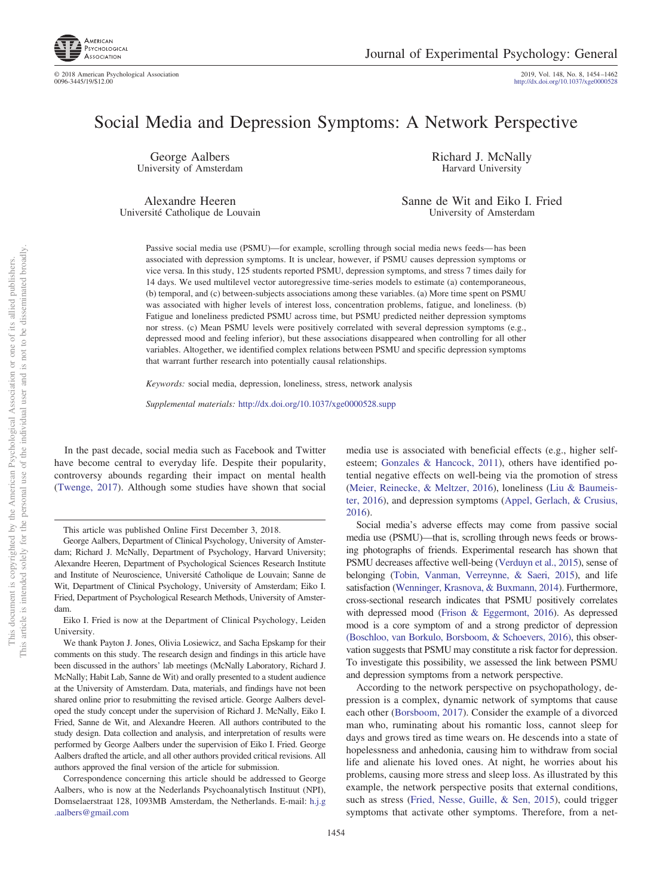

# Social Media and Depression Symptoms: A Network Perspective

George Aalbers University of Amsterdam

Alexandre Heeren Université Catholique de Louvain Richard J. McNally Harvard University

Sanne de Wit and Eiko I. Fried University of Amsterdam

Passive social media use (PSMU)—for example, scrolling through social media news feeds— has been associated with depression symptoms. It is unclear, however, if PSMU causes depression symptoms or vice versa. In this study, 125 students reported PSMU, depression symptoms, and stress 7 times daily for 14 days. We used multilevel vector autoregressive time-series models to estimate (a) contemporaneous, (b) temporal, and (c) between-subjects associations among these variables. (a) More time spent on PSMU was associated with higher levels of interest loss, concentration problems, fatigue, and loneliness. (b) Fatigue and loneliness predicted PSMU across time, but PSMU predicted neither depression symptoms nor stress. (c) Mean PSMU levels were positively correlated with several depression symptoms (e.g., depressed mood and feeling inferior), but these associations disappeared when controlling for all other variables. Altogether, we identified complex relations between PSMU and specific depression symptoms that warrant further research into potentially causal relationships.

*Keywords:* social media, depression, loneliness, stress, network analysis

*Supplemental materials:* http://dx.doi.org/10.1037/xge0000528.supp

In the past decade, social media such as Facebook and Twitter have become central to everyday life. Despite their popularity, controversy abounds regarding their impact on mental health [\(Twenge, 2017\)](#page-8-0). Although some studies have shown that social

not to be disseminated broadly one of its allied publishers.

 $\overleftarrow{\mathrm{O}}$  $\widetilde{\Xi}$ 

media use is associated with beneficial effects (e.g., higher selfesteem; [Gonzales & Hancock, 2011\)](#page-8-1), others have identified potential negative effects on well-being via the promotion of stress [\(Meier, Reinecke, & Meltzer, 2016\)](#page-8-2), loneliness [\(Liu & Baumeis](#page-8-3)[ter, 2016\)](#page-8-3), and depression symptoms [\(Appel, Gerlach, & Crusius,](#page-7-0) [2016\)](#page-7-0).

Social media's adverse effects may come from passive social media use (PSMU)—that is, scrolling through news feeds or browsing photographs of friends. Experimental research has shown that PSMU decreases affective well-being [\(Verduyn et al., 2015\)](#page-8-4), sense of belonging [\(Tobin, Vanman, Verreynne, & Saeri, 2015\)](#page-8-5), and life satisfaction [\(Wenninger, Krasnova, & Buxmann, 2014\)](#page-8-6). Furthermore, cross-sectional research indicates that PSMU positively correlates with depressed mood [\(Frison & Eggermont, 2016\)](#page-8-7). As depressed mood is a core symptom of and a strong predictor of depression [\(Boschloo, van Borkulo, Borsboom, & Schoevers, 2016\),](#page-7-1) this observation suggests that PSMU may constitute a risk factor for depression. To investigate this possibility, we assessed the link between PSMU and depression symptoms from a network perspective.

According to the network perspective on psychopathology, depression is a complex, dynamic network of symptoms that cause each other [\(Borsboom, 2017\)](#page-7-2). Consider the example of a divorced man who, ruminating about his romantic loss, cannot sleep for days and grows tired as time wears on. He descends into a state of hopelessness and anhedonia, causing him to withdraw from social life and alienate his loved ones. At night, he worries about his problems, causing more stress and sleep loss. As illustrated by this example, the network perspective posits that external conditions, such as stress [\(Fried, Nesse, Guille, & Sen, 2015\)](#page-8-8), could trigger symptoms that activate other symptoms. Therefore, from a net-

This article was published Online First December 3, 2018.

George Aalbers, Department of Clinical Psychology, University of Amsterdam; Richard J. McNally, Department of Psychology, Harvard University; Alexandre Heeren, Department of Psychological Sciences Research Institute and Institute of Neuroscience, Université Catholique de Louvain; Sanne de Wit, Department of Clinical Psychology, University of Amsterdam; Eiko I. Fried, Department of Psychological Research Methods, University of Amsterdam.

Eiko I. Fried is now at the Department of Clinical Psychology, Leiden **University** 

We thank Payton J. Jones, Olivia Losiewicz, and Sacha Epskamp for their comments on this study. The research design and findings in this article have been discussed in the authors' lab meetings (McNally Laboratory, Richard J. McNally; Habit Lab, Sanne de Wit) and orally presented to a student audience at the University of Amsterdam. Data, materials, and findings have not been shared online prior to resubmitting the revised article. George Aalbers developed the study concept under the supervision of Richard J. McNally, Eiko I. Fried, Sanne de Wit, and Alexandre Heeren. All authors contributed to the study design. Data collection and analysis, and interpretation of results were performed by George Aalbers under the supervision of Eiko I. Fried. George Aalbers drafted the article, and all other authors provided critical revisions. All authors approved the final version of the article for submission.

Correspondence concerning this article should be addressed to George Aalbers, who is now at the Nederlands Psychoanalytisch Instituut (NPI), Domselaerstraat 128, 1093MB Amsterdam, the Netherlands. E-mail: [h.j.g](mailto:h.j.g.aalbers@gmail.com) [.aalbers@gmail.com](mailto:h.j.g.aalbers@gmail.com)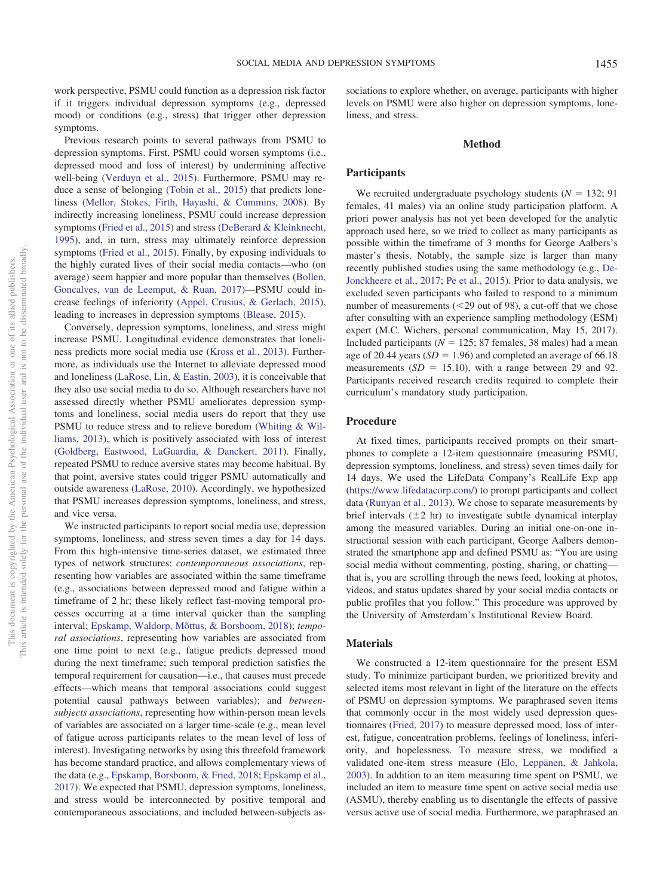work perspective, PSMU could function as a depression risk factor if it triggers individual depression symptoms (e.g., depressed mood) or conditions (e.g., stress) that trigger other depression symptoms.

Previous research points to several pathways from PSMU to depression symptoms. First, PSMU could worsen symptoms (i.e., depressed mood and loss of interest) by undermining affective well-being [\(Verduyn et al., 2015\)](#page-8-4). Furthermore, PSMU may reduce a sense of belonging [\(Tobin et al., 2015\)](#page-8-5) that predicts loneliness [\(Mellor, Stokes, Firth, Hayashi, & Cummins, 2008\)](#page-8-9). By indirectly increasing loneliness, PSMU could increase depression symptoms [\(Fried et al., 2015\)](#page-7-3) and stress [\(DeBerard & Kleinknecht,](#page-7-4) [1995\)](#page-7-4), and, in turn, stress may ultimately reinforce depression symptoms [\(Fried et al., 2015\)](#page-7-3). Finally, by exposing individuals to the highly curated lives of their social media contacts—who (on average) seem happier and more popular than themselves [\(Bollen,](#page-7-5) [Goncalves, van de Leemput, & Ruan, 2017\)](#page-7-5)—PSMU could increase feelings of inferiority [\(Appel, Crusius, & Gerlach, 2015\)](#page-7-6), leading to increases in depression symptoms [\(Blease, 2015\)](#page-7-7).

Conversely, depression symptoms, loneliness, and stress might increase PSMU. Longitudinal evidence demonstrates that loneliness predicts more social media use [\(Kross et al., 2013\)](#page-8-10). Furthermore, as individuals use the Internet to alleviate depressed mood and loneliness [\(LaRose, Lin, & Eastin, 2003\)](#page-8-11), it is conceivable that they also use social media to do so. Although researchers have not assessed directly whether PSMU ameliorates depression symptoms and loneliness, social media users do report that they use PSMU to reduce stress and to relieve boredom [\(Whiting & Wil](#page-8-12)[liams, 2013\)](#page-8-12), which is positively associated with loss of interest [\(Goldberg, Eastwood, LaGuardia, & Danckert, 2011\)](#page-8-13). Finally, repeated PSMU to reduce aversive states may become habitual. By that point, aversive states could trigger PSMU automatically and outside awareness [\(LaRose, 2010\)](#page-8-14). Accordingly, we hypothesized that PSMU increases depression symptoms, loneliness, and stress, and vice versa.

We instructed participants to report social media use, depression symptoms, loneliness, and stress seven times a day for 14 days. From this high-intensive time-series dataset, we estimated three types of network structures: *contemporaneous associations*, representing how variables are associated within the same timeframe (e.g., associations between depressed mood and fatigue within a timeframe of 2 hr; these likely reflect fast-moving temporal processes occurring at a time interval quicker than the sampling interval; [Epskamp, Waldorp, Mõttus, & Borsboom, 2018\)](#page-7-8); *temporal associations*, representing how variables are associated from one time point to next (e.g., fatigue predicts depressed mood during the next timeframe; such temporal prediction satisfies the temporal requirement for causation—i.e., that causes must precede effects—which means that temporal associations could suggest potential causal pathways between variables); and *betweensubjects associations*, representing how within-person mean levels of variables are associated on a larger time-scale (e.g., mean level of fatigue across participants relates to the mean level of loss of interest). Investigating networks by using this threefold framework has become standard practice, and allows complementary views of the data (e.g., [Epskamp, Borsboom, & Fried, 2018;](#page-7-9) [Epskamp et al.,](#page-7-10) [2017\)](#page-7-10). We expected that PSMU, depression symptoms, loneliness, and stress would be interconnected by positive temporal and contemporaneous associations, and included between-subjects associations to explore whether, on average, participants with higher levels on PSMU were also higher on depression symptoms, loneliness, and stress.

#### **Method**

## **Participants**

We recruited undergraduate psychology students  $(N = 132; 91)$ females, 41 males) via an online study participation platform. A priori power analysis has not yet been developed for the analytic approach used here, so we tried to collect as many participants as possible within the timeframe of 3 months for George Aalbers's master's thesis. Notably, the sample size is larger than many recently published studies using the same methodology (e.g., [De-](#page-7-11)[Jonckheere et al., 2017;](#page-7-11) [Pe et al., 2015\)](#page-8-15). Prior to data analysis, we excluded seven participants who failed to respond to a minimum number of measurements  $(<29$  out of 98), a cut-off that we chose after consulting with an experience sampling methodology (ESM) expert (M.C. Wichers, personal communication, May 15, 2017). Included participants ( $N = 125$ ; 87 females, 38 males) had a mean age of 20.44 years  $(SD = 1.96)$  and completed an average of 66.18 measurements  $(SD = 15.10)$ , with a range between 29 and 92. Participants received research credits required to complete their curriculum's mandatory study participation.

## **Procedure**

At fixed times, participants received prompts on their smartphones to complete a 12-item questionnaire (measuring PSMU, depression symptoms, loneliness, and stress) seven times daily for 14 days. We used the LifeData Company's RealLife Exp app [\(https://www.lifedatacorp.com/\)](https://www.lifedatacorp.com/) to prompt participants and collect data [\(Runyan et al., 2013\)](#page-8-16). We chose to separate measurements by brief intervals  $(\pm 2 \text{ hr})$  to investigate subtle dynamical interplay among the measured variables. During an initial one-on-one instructional session with each participant, George Aalbers demonstrated the smartphone app and defined PSMU as: "You are using social media without commenting, posting, sharing, or chatting that is, you are scrolling through the news feed, looking at photos, videos, and status updates shared by your social media contacts or public profiles that you follow." This procedure was approved by the University of Amsterdam's Institutional Review Board.

#### **Materials**

We constructed a 12-item questionnaire for the present ESM study. To minimize participant burden, we prioritized brevity and selected items most relevant in light of the literature on the effects of PSMU on depression symptoms. We paraphrased seven items that commonly occur in the most widely used depression questionnaires [\(Fried, 2017\)](#page-7-12) to measure depressed mood, loss of interest, fatigue, concentration problems, feelings of loneliness, inferiority, and hopelessness. To measure stress, we modified a validated one-item stress measure [\(Elo, Leppänen, & Jahkola,](#page-7-13) [2003\)](#page-7-13). In addition to an item measuring time spent on PSMU, we included an item to measure time spent on active social media use (ASMU), thereby enabling us to disentangle the effects of passive versus active use of social media. Furthermore, we paraphrased an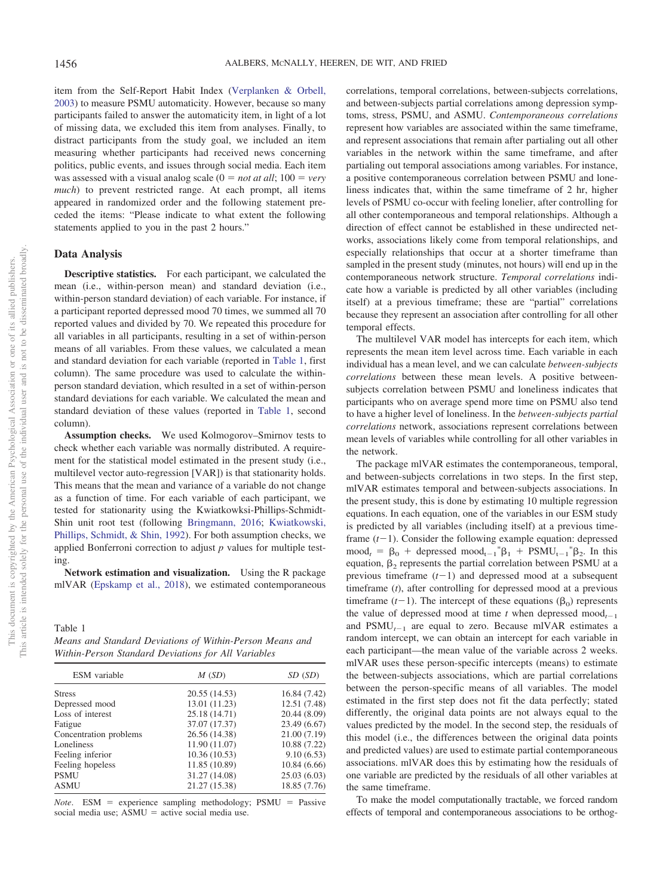item from the Self-Report Habit Index [\(Verplanken & Orbell,](#page-8-17) [2003\)](#page-8-17) to measure PSMU automaticity. However, because so many participants failed to answer the automaticity item, in light of a lot of missing data, we excluded this item from analyses. Finally, to distract participants from the study goal, we included an item measuring whether participants had received news concerning politics, public events, and issues through social media. Each item was assessed with a visual analog scale  $(0 = not at all; 100 = very$ *much*) to prevent restricted range. At each prompt, all items appeared in randomized order and the following statement preceded the items: "Please indicate to what extent the following statements applied to you in the past 2 hours."

# **Data Analysis**

**Descriptive statistics.** For each participant, we calculated the mean (i.e., within-person mean) and standard deviation (i.e., within-person standard deviation) of each variable. For instance, if a participant reported depressed mood 70 times, we summed all 70 reported values and divided by 70. We repeated this procedure for all variables in all participants, resulting in a set of within-person means of all variables. From these values, we calculated a mean and standard deviation for each variable (reported in [Table 1,](#page-2-0) first column). The same procedure was used to calculate the withinperson standard deviation, which resulted in a set of within-person standard deviations for each variable. We calculated the mean and standard deviation of these values (reported in [Table 1,](#page-2-0) second column).

**Assumption checks.** We used Kolmogorov–Smirnov tests to check whether each variable was normally distributed. A requirement for the statistical model estimated in the present study (i.e., multilevel vector auto-regression [VAR]) is that stationarity holds. This means that the mean and variance of a variable do not change as a function of time. For each variable of each participant, we tested for stationarity using the Kwiatkowksi-Phillips-Schmidt-Shin unit root test (following [Bringmann, 2016;](#page-7-14) [Kwiatkowski,](#page-8-18) [Phillips, Schmidt, & Shin, 1992\)](#page-8-18). For both assumption checks, we applied Bonferroni correction to adjust *p* values for multiple testing.

**Network estimation and visualization.** Using the R package mlVAR [\(Epskamp et al., 2018\)](#page-7-9), we estimated contemporaneous

<span id="page-2-0"></span>Table 1 *Means and Standard Deviations of Within-Person Means and Within-Person Standard Deviations for All Variables*

| <b>ESM</b> variable    | M(SD)         | SD(SD)       |  |
|------------------------|---------------|--------------|--|
| <b>Stress</b>          | 20.55 (14.53) | 16.84 (7.42) |  |
| Depressed mood         | 13.01 (11.23) | 12.51 (7.48) |  |
| Loss of interest       | 25.18 (14.71) | 20.44 (8.09) |  |
| Fatigue                | 37.07 (17.37) | 23.49 (6.67) |  |
| Concentration problems | 26.56 (14.38) | 21.00 (7.19) |  |
| Loneliness             | 11.90 (11.07) | 10.88 (7.22) |  |
| Feeling inferior       | 10.36(10.53)  | 9.10(6.53)   |  |
| Feeling hopeless       | 11.85 (10.89) | 10.84 (6.66) |  |
| PSMU                   | 31.27 (14.08) | 25.03(6.03)  |  |
| ASMU                   | 21.27 (15.38) | 18.85 (7.76) |  |
|                        |               |              |  |

*Note*. ESM = experience sampling methodology; PSMU = Passive social media use;  $ASMU =$  active social media use.

correlations, temporal correlations, between-subjects correlations, and between-subjects partial correlations among depression symptoms, stress, PSMU, and ASMU. *Contemporaneous correlations* represent how variables are associated within the same timeframe, and represent associations that remain after partialing out all other variables in the network within the same timeframe, and after partialing out temporal associations among variables. For instance, a positive contemporaneous correlation between PSMU and loneliness indicates that, within the same timeframe of 2 hr, higher levels of PSMU co-occur with feeling lonelier, after controlling for all other contemporaneous and temporal relationships. Although a direction of effect cannot be established in these undirected networks, associations likely come from temporal relationships, and especially relationships that occur at a shorter timeframe than sampled in the present study (minutes, not hours) will end up in the contemporaneous network structure. *Temporal correlations* indicate how a variable is predicted by all other variables (including itself) at a previous timeframe; these are "partial" correlations because they represent an association after controlling for all other temporal effects.

The multilevel VAR model has intercepts for each item, which represents the mean item level across time. Each variable in each individual has a mean level, and we can calculate *between-subjects correlations* between these mean levels. A positive betweensubjects correlation between PSMU and loneliness indicates that participants who on average spend more time on PSMU also tend to have a higher level of loneliness. In the *between-subjects partial correlations* network, associations represent correlations between mean levels of variables while controlling for all other variables in the network.

The package mlVAR estimates the contemporaneous, temporal, and between-subjects correlations in two steps. In the first step, mlVAR estimates temporal and between-subjects associations. In the present study, this is done by estimating 10 multiple regression equations. In each equation, one of the variables in our ESM study is predicted by all variables (including itself) at a previous timeframe  $(t-1)$ . Consider the following example equation: depressed mood<sub>t</sub> =  $\beta_0$  + depressed mood<sub>t-1</sub><sup>\*</sup> $\beta_1$  +  $PSMU_{t-1}$ <sup>\*</sup> $\beta_2$ . In this equation,  $\beta_2$  represents the partial correlation between PSMU at a previous timeframe  $(t-1)$  and depressed mood at a subsequent timeframe (*t*), after controlling for depressed mood at a previous timeframe  $(t-1)$ . The intercept of these equations  $(\beta_0)$  represents the value of depressed mood at time *t* when depressed mood<sub> $t-1$ </sub> and  $PSMU_{t-1}$  are equal to zero. Because mlVAR estimates a random intercept, we can obtain an intercept for each variable in each participant—the mean value of the variable across 2 weeks. mlVAR uses these person-specific intercepts (means) to estimate the between-subjects associations, which are partial correlations between the person-specific means of all variables. The model estimated in the first step does not fit the data perfectly; stated differently, the original data points are not always equal to the values predicted by the model. In the second step, the residuals of this model (i.e., the differences between the original data points and predicted values) are used to estimate partial contemporaneous associations. mlVAR does this by estimating how the residuals of one variable are predicted by the residuals of all other variables at the same timeframe.

To make the model computationally tractable, we forced random effects of temporal and contemporaneous associations to be orthog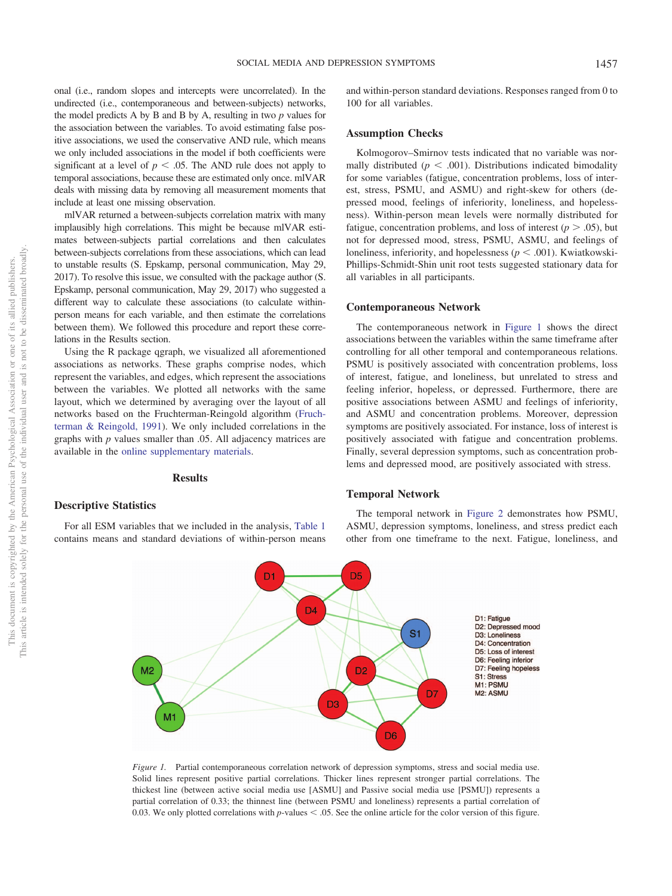This document is copyrighted by the American Psychological Association or one of its allied publishers.

This document is copyrighted by the American Psychological Association

one of its allied publishers.

 $\rm \tilde{o}$ 

onal (i.e., random slopes and intercepts were uncorrelated). In the undirected (i.e., contemporaneous and between-subjects) networks, the model predicts A by B and B by A, resulting in two *p* values for the association between the variables. To avoid estimating false positive associations, we used the conservative AND rule, which means we only included associations in the model if both coefficients were significant at a level of  $p < .05$ . The AND rule does not apply to temporal associations, because these are estimated only once. mlVAR deals with missing data by removing all measurement moments that include at least one missing observation.

mlVAR returned a between-subjects correlation matrix with many implausibly high correlations. This might be because mlVAR estimates between-subjects partial correlations and then calculates between-subjects correlations from these associations, which can lead to unstable results (S. Epskamp, personal communication, May 29, 2017). To resolve this issue, we consulted with the package author (S. Epskamp, personal communication, May 29, 2017) who suggested a different way to calculate these associations (to calculate withinperson means for each variable, and then estimate the correlations between them). We followed this procedure and report these correlations in the Results section.

Using the R package qgraph, we visualized all aforementioned associations as networks. These graphs comprise nodes, which represent the variables, and edges, which represent the associations between the variables. We plotted all networks with the same layout, which we determined by averaging over the layout of all networks based on the Fruchterman-Reingold algorithm [\(Fruch](#page-8-19)[terman & Reingold, 1991\)](#page-8-19). We only included correlations in the graphs with *p* values smaller than .05. All adjacency matrices are available in the [online supplementary materials.](http://dx.doi.org/10.1037/xge0000528.supp)

#### **Results**

## **Descriptive Statistics**

For all ESM variables that we included in the analysis, [Table 1](#page-2-0) contains means and standard deviations of within-person means and within-person standard deviations. Responses ranged from 0 to 100 for all variables.

## **Assumption Checks**

Kolmogorov–Smirnov tests indicated that no variable was normally distributed ( $p < .001$ ). Distributions indicated bimodality for some variables (fatigue, concentration problems, loss of interest, stress, PSMU, and ASMU) and right-skew for others (depressed mood, feelings of inferiority, loneliness, and hopelessness). Within-person mean levels were normally distributed for fatigue, concentration problems, and loss of interest  $(p > .05)$ , but not for depressed mood, stress, PSMU, ASMU, and feelings of loneliness, inferiority, and hopelessness ( $p < .001$ ). Kwiatkowski-Phillips-Schmidt-Shin unit root tests suggested stationary data for all variables in all participants.

#### **Contemporaneous Network**

The contemporaneous network in [Figure 1](#page-3-0) shows the direct associations between the variables within the same timeframe after controlling for all other temporal and contemporaneous relations. PSMU is positively associated with concentration problems, loss of interest, fatigue, and loneliness, but unrelated to stress and feeling inferior, hopeless, or depressed. Furthermore, there are positive associations between ASMU and feelings of inferiority, and ASMU and concentration problems. Moreover, depression symptoms are positively associated. For instance, loss of interest is positively associated with fatigue and concentration problems. Finally, several depression symptoms, such as concentration problems and depressed mood, are positively associated with stress.

## **Temporal Network**

The temporal network in [Figure 2](#page-4-0) demonstrates how PSMU, ASMU, depression symptoms, loneliness, and stress predict each other from one timeframe to the next. Fatigue, loneliness, and



<span id="page-3-0"></span>*Figure 1.* Partial contemporaneous correlation network of depression symptoms, stress and social media use. Solid lines represent positive partial correlations. Thicker lines represent stronger partial correlations. The thickest line (between active social media use [ASMU] and Passive social media use [PSMU]) represents a partial correlation of 0.33; the thinnest line (between PSMU and loneliness) represents a partial correlation of 0.03. We only plotted correlations with *p*-values  $\leq$  0.05. See the online article for the color version of this figure.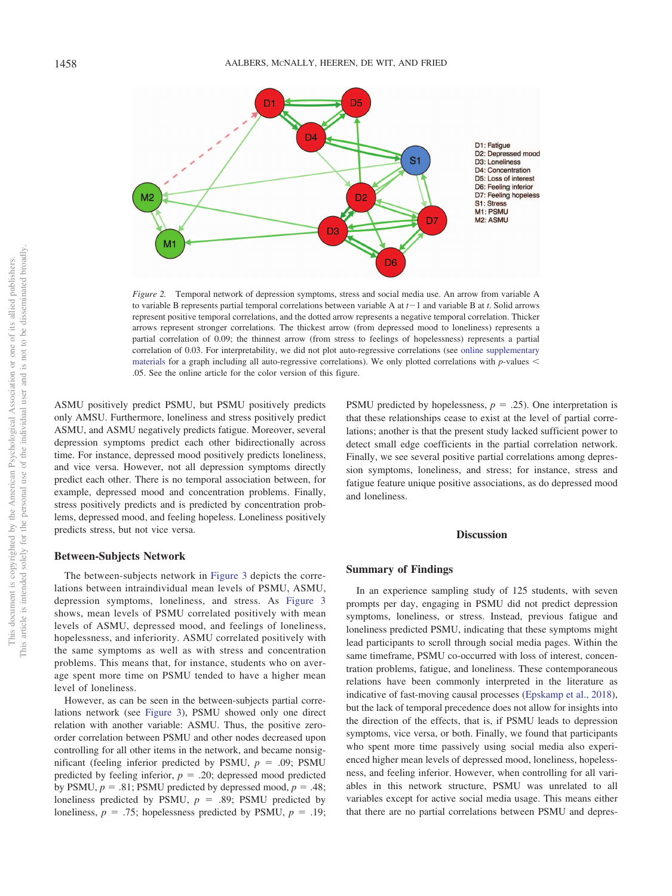

<span id="page-4-0"></span>*Figure 2.* Temporal network of depression symptoms, stress and social media use. An arrow from variable A to variable B represents partial temporal correlations between variable A at  $t-1$  and variable B at  $t$ . Solid arrows represent positive temporal correlations, and the dotted arrow represents a negative temporal correlation. Thicker arrows represent stronger correlations. The thickest arrow (from depressed mood to loneliness) represents a partial correlation of 0.09; the thinnest arrow (from stress to feelings of hopelessness) represents a partial correlation of 0.03. For interpretability, we did not plot auto-regressive correlations (see [online supplementary](http://dx.doi.org/10.1037/xge0000528.supp) [materials](http://dx.doi.org/10.1037/xge0000528.supp) for a graph including all auto-regressive correlations). We only plotted correlations with *p*-values .05. See the online article for the color version of this figure.

ASMU positively predict PSMU, but PSMU positively predicts only AMSU. Furthermore, loneliness and stress positively predict ASMU, and ASMU negatively predicts fatigue. Moreover, several depression symptoms predict each other bidirectionally across time. For instance, depressed mood positively predicts loneliness, and vice versa. However, not all depression symptoms directly predict each other. There is no temporal association between, for example, depressed mood and concentration problems. Finally, stress positively predicts and is predicted by concentration problems, depressed mood, and feeling hopeless. Loneliness positively predicts stress, but not vice versa.

## **Between-Subjects Network**

The between-subjects network in [Figure 3](#page-5-0) depicts the correlations between intraindividual mean levels of PSMU, ASMU, depression symptoms, loneliness, and stress. As [Figure 3](#page-5-0) shows, mean levels of PSMU correlated positively with mean levels of ASMU, depressed mood, and feelings of loneliness, hopelessness, and inferiority. ASMU correlated positively with the same symptoms as well as with stress and concentration problems. This means that, for instance, students who on average spent more time on PSMU tended to have a higher mean level of loneliness.

However, as can be seen in the between-subjects partial correlations network (see [Figure 3\)](#page-5-0), PSMU showed only one direct relation with another variable: ASMU. Thus, the positive zeroorder correlation between PSMU and other nodes decreased upon controlling for all other items in the network, and became nonsignificant (feeling inferior predicted by PSMU,  $p = .09$ ; PSMU predicted by feeling inferior,  $p = 0.20$ ; depressed mood predicted by PSMU,  $p = .81$ ; PSMU predicted by depressed mood,  $p = .48$ ; loneliness predicted by PSMU,  $p = .89$ ; PSMU predicted by loneliness,  $p = .75$ ; hopelessness predicted by PSMU,  $p = .19$ ;

PSMU predicted by hopelessness,  $p = .25$ ). One interpretation is that these relationships cease to exist at the level of partial correlations; another is that the present study lacked sufficient power to detect small edge coefficients in the partial correlation network. Finally, we see several positive partial correlations among depression symptoms, loneliness, and stress; for instance, stress and fatigue feature unique positive associations, as do depressed mood and loneliness.

# **Discussion**

## **Summary of Findings**

In an experience sampling study of 125 students, with seven prompts per day, engaging in PSMU did not predict depression symptoms, loneliness, or stress. Instead, previous fatigue and loneliness predicted PSMU, indicating that these symptoms might lead participants to scroll through social media pages. Within the same timeframe, PSMU co-occurred with loss of interest, concentration problems, fatigue, and loneliness. These contemporaneous relations have been commonly interpreted in the literature as indicative of fast-moving causal processes [\(Epskamp et al., 2018\)](#page-7-9), but the lack of temporal precedence does not allow for insights into the direction of the effects, that is, if PSMU leads to depression symptoms, vice versa, or both. Finally, we found that participants who spent more time passively using social media also experienced higher mean levels of depressed mood, loneliness, hopelessness, and feeling inferior. However, when controlling for all variables in this network structure, PSMU was unrelated to all variables except for active social media usage. This means either that there are no partial correlations between PSMU and depres-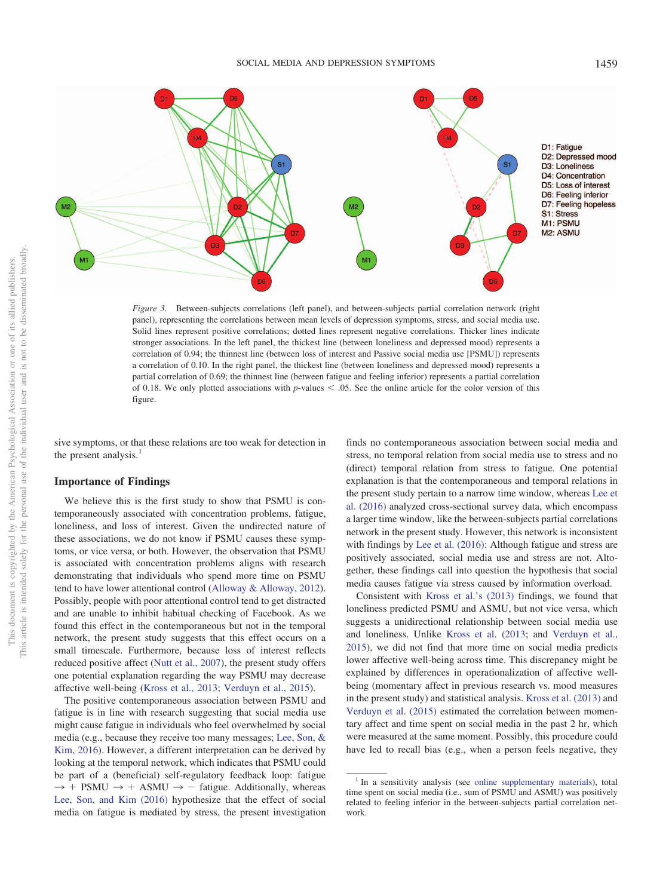

<span id="page-5-0"></span>*Figure 3.* Between-subjects correlations (left panel), and between-subjects partial correlation network (right panel), representing the correlations between mean levels of depression symptoms, stress, and social media use. Solid lines represent positive correlations; dotted lines represent negative correlations. Thicker lines indicate stronger associations. In the left panel, the thickest line (between loneliness and depressed mood) represents a correlation of 0.94; the thinnest line (between loss of interest and Passive social media use [PSMU]) represents a correlation of 0.10. In the right panel, the thickest line (between loneliness and depressed mood) represents a partial correlation of 0.69; the thinnest line (between fatigue and feeling inferior) represents a partial correlation of 0.18. We only plotted associations with  $p$ -values  $\leq$  0.05. See the online article for the color version of this figure.

sive symptoms, or that these relations are too weak for detection in the present analysis.<sup>1</sup>

# **Importance of Findings**

We believe this is the first study to show that PSMU is contemporaneously associated with concentration problems, fatigue, loneliness, and loss of interest. Given the undirected nature of these associations, we do not know if PSMU causes these symptoms, or vice versa, or both. However, the observation that PSMU is associated with concentration problems aligns with research demonstrating that individuals who spend more time on PSMU tend to have lower attentional control [\(Alloway & Alloway, 2012\)](#page-7-15). Possibly, people with poor attentional control tend to get distracted and are unable to inhibit habitual checking of Facebook. As we found this effect in the contemporaneous but not in the temporal network, the present study suggests that this effect occurs on a small timescale. Furthermore, because loss of interest reflects reduced positive affect [\(Nutt et al., 2007\)](#page-8-20), the present study offers one potential explanation regarding the way PSMU may decrease affective well-being [\(Kross et al., 2013;](#page-8-10) [Verduyn et al., 2015\)](#page-8-4).

The positive contemporaneous association between PSMU and fatigue is in line with research suggesting that social media use might cause fatigue in individuals who feel overwhelmed by social media (e.g., because they receive too many messages; [Lee, Son, &](#page-8-21) [Kim, 2016\)](#page-8-21). However, a different interpretation can be derived by looking at the temporal network, which indicates that PSMU could be part of a (beneficial) self-regulatory feedback loop: fatigue  $\rightarrow$  + PSMU  $\rightarrow$  + ASMU  $\rightarrow$  - fatigue. Additionally, whereas [Lee, Son, and Kim \(2016\)](#page-8-21) hypothesize that the effect of social media on fatigue is mediated by stress, the present investigation

finds no contemporaneous association between social media and stress, no temporal relation from social media use to stress and no (direct) temporal relation from stress to fatigue. One potential explanation is that the contemporaneous and temporal relations in the present study pertain to a narrow time window, whereas [Lee et](#page-8-21) [al. \(2016\)](#page-8-21) analyzed cross-sectional survey data, which encompass a larger time window, like the between-subjects partial correlations network in the present study. However, this network is inconsistent with findings by [Lee et al. \(2016\):](#page-8-21) Although fatigue and stress are positively associated, social media use and stress are not. Altogether, these findings call into question the hypothesis that social media causes fatigue via stress caused by information overload.

Consistent with [Kross et al.'s \(2013\)](#page-8-10) findings, we found that loneliness predicted PSMU and ASMU, but not vice versa, which suggests a unidirectional relationship between social media use and loneliness. Unlike [Kross et al. \(2013;](#page-8-10) and [Verduyn et al.,](#page-8-4) [2015\)](#page-8-4), we did not find that more time on social media predicts lower affective well-being across time. This discrepancy might be explained by differences in operationalization of affective wellbeing (momentary affect in previous research vs. mood measures in the present study) and statistical analysis. [Kross et al. \(2013\)](#page-8-10) and [Verduyn et al. \(2015\)](#page-8-4) estimated the correlation between momentary affect and time spent on social media in the past 2 hr, which were measured at the same moment. Possibly, this procedure could have led to recall bias (e.g., when a person feels negative, they

<sup>&</sup>lt;sup>1</sup> In a sensitivity analysis (see [online supplementary materials\)](http://dx.doi.org/10.1037/xge0000528.supp), total time spent on social media (i.e., sum of PSMU and ASMU) was positively related to feeling inferior in the between-subjects partial correlation network.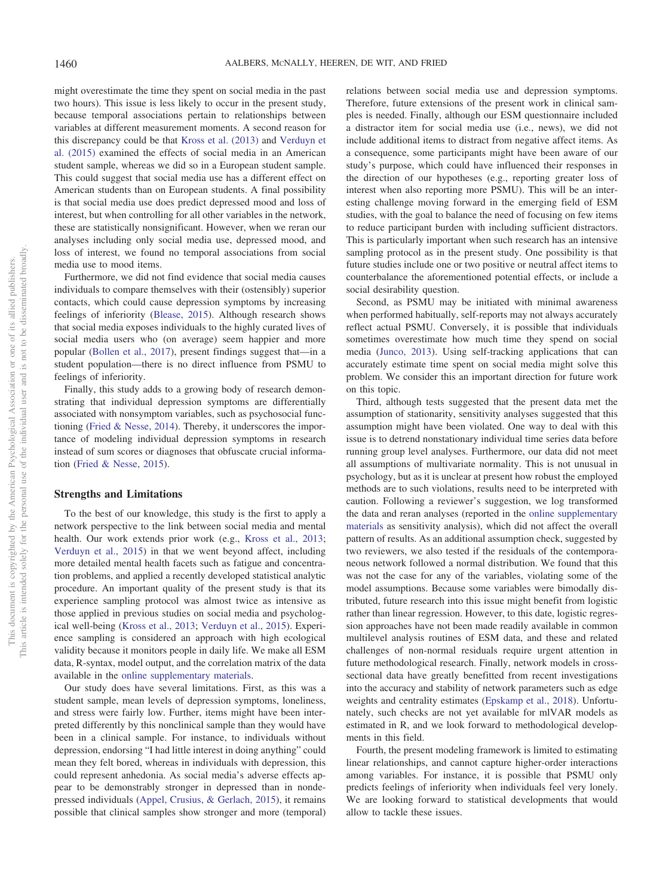might overestimate the time they spent on social media in the past two hours). This issue is less likely to occur in the present study, because temporal associations pertain to relationships between variables at different measurement moments. A second reason for this discrepancy could be that [Kross et al. \(2013\)](#page-8-10) and [Verduyn et](#page-8-4) [al. \(2015\)](#page-8-4) examined the effects of social media in an American student sample, whereas we did so in a European student sample. This could suggest that social media use has a different effect on American students than on European students. A final possibility is that social media use does predict depressed mood and loss of interest, but when controlling for all other variables in the network, these are statistically nonsignificant. However, when we reran our analyses including only social media use, depressed mood, and loss of interest, we found no temporal associations from social media use to mood items.

Furthermore, we did not find evidence that social media causes individuals to compare themselves with their (ostensibly) superior contacts, which could cause depression symptoms by increasing feelings of inferiority [\(Blease, 2015\)](#page-7-7). Although research shows that social media exposes individuals to the highly curated lives of social media users who (on average) seem happier and more popular [\(Bollen et al., 2017\)](#page-7-5), present findings suggest that—in a student population—there is no direct influence from PSMU to feelings of inferiority.

Finally, this study adds to a growing body of research demonstrating that individual depression symptoms are differentially associated with nonsymptom variables, such as psychosocial functioning [\(Fried & Nesse, 2014\)](#page-8-22). Thereby, it underscores the importance of modeling individual depression symptoms in research instead of sum scores or diagnoses that obfuscate crucial information [\(Fried & Nesse, 2015\)](#page-8-23).

#### **Strengths and Limitations**

To the best of our knowledge, this study is the first to apply a network perspective to the link between social media and mental health. Our work extends prior work (e.g., [Kross et al., 2013;](#page-8-10) [Verduyn et al., 2015\)](#page-8-4) in that we went beyond affect, including more detailed mental health facets such as fatigue and concentration problems, and applied a recently developed statistical analytic procedure. An important quality of the present study is that its experience sampling protocol was almost twice as intensive as those applied in previous studies on social media and psychological well-being [\(Kross et al., 2013;](#page-8-10) [Verduyn et al., 2015\)](#page-8-4). Experience sampling is considered an approach with high ecological validity because it monitors people in daily life. We make all ESM data, R-syntax, model output, and the correlation matrix of the data available in the [online supplementary materials.](http://dx.doi.org/10.1037/xge0000528.supp)

Our study does have several limitations. First, as this was a student sample, mean levels of depression symptoms, loneliness, and stress were fairly low. Further, items might have been interpreted differently by this nonclinical sample than they would have been in a clinical sample. For instance, to individuals without depression, endorsing "I had little interest in doing anything" could mean they felt bored, whereas in individuals with depression, this could represent anhedonia. As social media's adverse effects appear to be demonstrably stronger in depressed than in nondepressed individuals [\(Appel, Crusius, & Gerlach, 2015\)](#page-7-6), it remains possible that clinical samples show stronger and more (temporal) relations between social media use and depression symptoms. Therefore, future extensions of the present work in clinical samples is needed. Finally, although our ESM questionnaire included a distractor item for social media use (i.e., news), we did not include additional items to distract from negative affect items. As a consequence, some participants might have been aware of our study's purpose, which could have influenced their responses in the direction of our hypotheses (e.g., reporting greater loss of interest when also reporting more PSMU). This will be an interesting challenge moving forward in the emerging field of ESM studies, with the goal to balance the need of focusing on few items to reduce participant burden with including sufficient distractors. This is particularly important when such research has an intensive sampling protocol as in the present study. One possibility is that future studies include one or two positive or neutral affect items to counterbalance the aforementioned potential effects, or include a social desirability question.

Second, as PSMU may be initiated with minimal awareness when performed habitually, self-reports may not always accurately reflect actual PSMU. Conversely, it is possible that individuals sometimes overestimate how much time they spend on social media [\(Junco, 2013\)](#page-8-24). Using self-tracking applications that can accurately estimate time spent on social media might solve this problem. We consider this an important direction for future work on this topic.

Third, although tests suggested that the present data met the assumption of stationarity, sensitivity analyses suggested that this assumption might have been violated. One way to deal with this issue is to detrend nonstationary individual time series data before running group level analyses. Furthermore, our data did not meet all assumptions of multivariate normality. This is not unusual in psychology, but as it is unclear at present how robust the employed methods are to such violations, results need to be interpreted with caution. Following a reviewer's suggestion, we log transformed the data and reran analyses (reported in the [online supplementary](http://dx.doi.org/10.1037/xge0000528.supp) [materials](http://dx.doi.org/10.1037/xge0000528.supp) as sensitivity analysis), which did not affect the overall pattern of results. As an additional assumption check, suggested by two reviewers, we also tested if the residuals of the contemporaneous network followed a normal distribution. We found that this was not the case for any of the variables, violating some of the model assumptions. Because some variables were bimodally distributed, future research into this issue might benefit from logistic rather than linear regression. However, to this date, logistic regression approaches have not been made readily available in common multilevel analysis routines of ESM data, and these and related challenges of non-normal residuals require urgent attention in future methodological research. Finally, network models in crosssectional data have greatly benefitted from recent investigations into the accuracy and stability of network parameters such as edge weights and centrality estimates [\(Epskamp et al., 2018\)](#page-7-9). Unfortunately, such checks are not yet available for mlVAR models as estimated in R, and we look forward to methodological developments in this field.

Fourth, the present modeling framework is limited to estimating linear relationships, and cannot capture higher-order interactions among variables. For instance, it is possible that PSMU only predicts feelings of inferiority when individuals feel very lonely. We are looking forward to statistical developments that would allow to tackle these issues.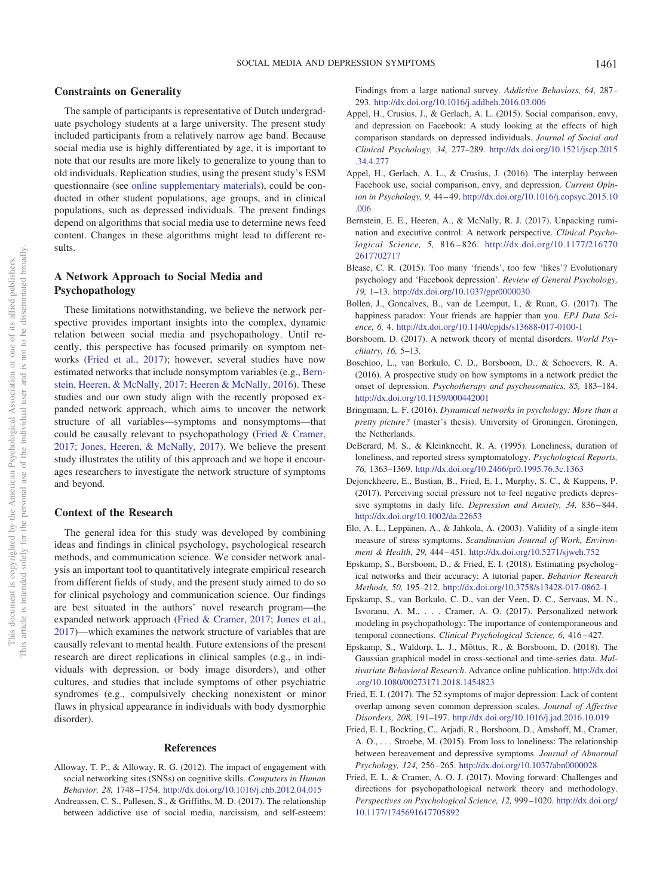#### **Constraints on Generality**

The sample of participants is representative of Dutch undergraduate psychology students at a large university. The present study included participants from a relatively narrow age band. Because social media use is highly differentiated by age, it is important to note that our results are more likely to generalize to young than to old individuals. Replication studies, using the present study's ESM questionnaire (see [online supplementary materials\)](http://dx.doi.org/10.1037/xge0000528.supp), could be conducted in other student populations, age groups, and in clinical populations, such as depressed individuals. The present findings depend on algorithms that social media use to determine news feed content. Changes in these algorithms might lead to different results.

# **A Network Approach to Social Media and Psychopathology**

These limitations notwithstanding, we believe the network perspective provides important insights into the complex, dynamic relation between social media and psychopathology. Until recently, this perspective has focused primarily on symptom networks [\(Fried et al., 2017\)](#page-8-25); however, several studies have now estimated networks that include nonsymptom variables (e.g., [Bern](#page-7-16)[stein, Heeren, & McNally, 2017;](#page-7-16) [Heeren & McNally, 2016\)](#page-8-26). These studies and our own study align with the recently proposed expanded network approach, which aims to uncover the network structure of all variables—symptoms and nonsymptoms—that could be causally relevant to psychopathology [\(Fried & Cramer,](#page-7-17) [2017;](#page-7-17) [Jones, Heeren, & McNally, 2017\)](#page-8-27). We believe the present study illustrates the utility of this approach and we hope it encourages researchers to investigate the network structure of symptoms and beyond.

#### **Context of the Research**

The general idea for this study was developed by combining ideas and findings in clinical psychology, psychological research methods, and communication science. We consider network analysis an important tool to quantitatively integrate empirical research from different fields of study, and the present study aimed to do so for clinical psychology and communication science. Our findings are best situated in the authors' novel research program—the expanded network approach [\(Fried & Cramer, 2017;](#page-7-17) [Jones et al.,](#page-8-27) [2017\)](#page-8-27)—which examines the network structure of variables that are causally relevant to mental health. Future extensions of the present research are direct replications in clinical samples (e.g., in individuals with depression, or body image disorders), and other cultures, and studies that include symptoms of other psychiatric syndromes (e.g., compulsively checking nonexistent or minor flaws in physical appearance in individuals with body dysmorphic disorder).

#### **References**

- <span id="page-7-15"></span>Alloway, T. P., & Alloway, R. G. (2012). The impact of engagement with social networking sites (SNSs) on cognitive skills. *Computers in Human Behavior, 28,* 1748 –1754. <http://dx.doi.org/10.1016/j.chb.2012.04.015>
- Andreassen, C. S., Pallesen, S., & Griffiths, M. D. (2017). The relationship between addictive use of social media, narcissism, and self-esteem:

Findings from a large national survey. *Addictive Behaviors, 64,* 287– 293. <http://dx.doi.org/10.1016/j.addbeh.2016.03.006>

- <span id="page-7-6"></span>Appel, H., Crusius, J., & Gerlach, A. L. (2015). Social comparison, envy, and depression on Facebook: A study looking at the effects of high comparison standards on depressed individuals. *Journal of Social and Clinical Psychology, 34,* 277–289. [http://dx.doi.org/10.1521/jscp.2015](http://dx.doi.org/10.1521/jscp.2015.34.4.277) [.34.4.277](http://dx.doi.org/10.1521/jscp.2015.34.4.277)
- <span id="page-7-0"></span>Appel, H., Gerlach, A. L., & Crusius, J. (2016). The interplay between Facebook use, social comparison, envy, and depression. *Current Opinion in Psychology, 9,* 44 – 49. [http://dx.doi.org/10.1016/j.copsyc.2015.10](http://dx.doi.org/10.1016/j.copsyc.2015.10.006) [.006](http://dx.doi.org/10.1016/j.copsyc.2015.10.006)
- <span id="page-7-16"></span>Bernstein, E. E., Heeren, A., & McNally, R. J. (2017). Unpacking rumination and executive control: A network perspective. *Clinical Psychological Science, 5,* 816 – 826. [http://dx.doi.org/10.1177/216770](http://dx.doi.org/10.1177/2167702617702717) [2617702717](http://dx.doi.org/10.1177/2167702617702717)
- <span id="page-7-7"></span>Blease, C. R. (2015). Too many 'friends', too few 'likes'? Evolutionary psychology and 'Facebook depression'. *Review of General Psychology, 19,* 1–13. <http://dx.doi.org/10.1037/gpr0000030>
- <span id="page-7-5"></span>Bollen, J., Goncalves, B., van de Leemput, I., & Ruan, G. (2017). The happiness paradox: Your friends are happier than you. *EPJ Data Science, 6,* 4. <http://dx.doi.org/10.1140/epjds/s13688-017-0100-1>
- <span id="page-7-2"></span>Borsboom, D. (2017). A network theory of mental disorders. *World Psychiatry, 16,* 5–13.
- <span id="page-7-1"></span>Boschloo, L., van Borkulo, C. D., Borsboom, D., & Schoevers, R. A. (2016). A prospective study on how symptoms in a network predict the onset of depression. *Psychotherapy and psychosomatics, 85,* 183–184. <http://dx.doi.org/10.1159/000442001>
- <span id="page-7-14"></span>Bringmann, L. F. (2016). *Dynamical networks in psychology: More than a pretty picture?* (master's thesis). University of Groningen, Groningen, the Netherlands.
- <span id="page-7-4"></span>DeBerard, M. S., & Kleinknecht, R. A. (1995). Loneliness, duration of loneliness, and reported stress symptomatology. *Psychological Reports, 76,* 1363–1369. <http://dx.doi.org/10.2466/pr0.1995.76.3c.1363>
- <span id="page-7-11"></span>Dejonckheere, E., Bastian, B., Fried, E. I., Murphy, S. C., & Kuppens, P. (2017). Perceiving social pressure not to feel negative predicts depressive symptoms in daily life. *Depression and Anxiety, 34,* 836 – 844. <http://dx.doi.org/10.1002/da.22653>
- <span id="page-7-13"></span>Elo, A. L., Leppänen, A., & Jahkola, A. (2003). Validity of a single-item measure of stress symptoms. *Scandinavian Journal of Work, Environment & Health, 29,* 444 – 451. <http://dx.doi.org/10.5271/sjweh.752>
- <span id="page-7-9"></span>Epskamp, S., Borsboom, D., & Fried, E. I. (2018). Estimating psychological networks and their accuracy: A tutorial paper. *Behavior Research Methods, 50,* 195–212. <http://dx.doi.org/10.3758/s13428-017-0862-1>
- <span id="page-7-10"></span>Epskamp, S., van Borkulo, C. D., van der Veen, D. C., Servaas, M. N., Isvoranu, A. M.,... Cramer, A. O. (2017). Personalized network modeling in psychopathology: The importance of contemporaneous and temporal connections. *Clinical Psychological Science*, 6, 416-427.
- <span id="page-7-8"></span>Epskamp, S., Waldorp, L. J., Mõttus, R., & Borsboom, D. (2018). The Gaussian graphical model in cross-sectional and time-series data. *Multivariate Behavioral Research*. Advance online publication. [http://dx.doi](http://dx.doi.org/10.1080/00273171.2018.1454823) [.org/10.1080/00273171.2018.1454823](http://dx.doi.org/10.1080/00273171.2018.1454823)
- <span id="page-7-12"></span>Fried, E. I. (2017). The 52 symptoms of major depression: Lack of content overlap among seven common depression scales. *Journal of Affective Disorders, 208,* 191–197. <http://dx.doi.org/10.1016/j.jad.2016.10.019>
- <span id="page-7-3"></span>Fried, E. I., Bockting, C., Arjadi, R., Borsboom, D., Amshoff, M., Cramer, A. O., . . . Stroebe, M. (2015). From loss to loneliness: The relationship between bereavement and depressive symptoms. *Journal of Abnormal Psychology, 124,* 256 –265. <http://dx.doi.org/10.1037/abn0000028>
- <span id="page-7-17"></span>Fried, E. I., & Cramer, A. O. J. (2017). Moving forward: Challenges and directions for psychopathological network theory and methodology. *Perspectives on Psychological Science, 12,* 999 –1020. [http://dx.doi.org/](http://dx.doi.org/10.1177/1745691617705892) [10.1177/1745691617705892](http://dx.doi.org/10.1177/1745691617705892)